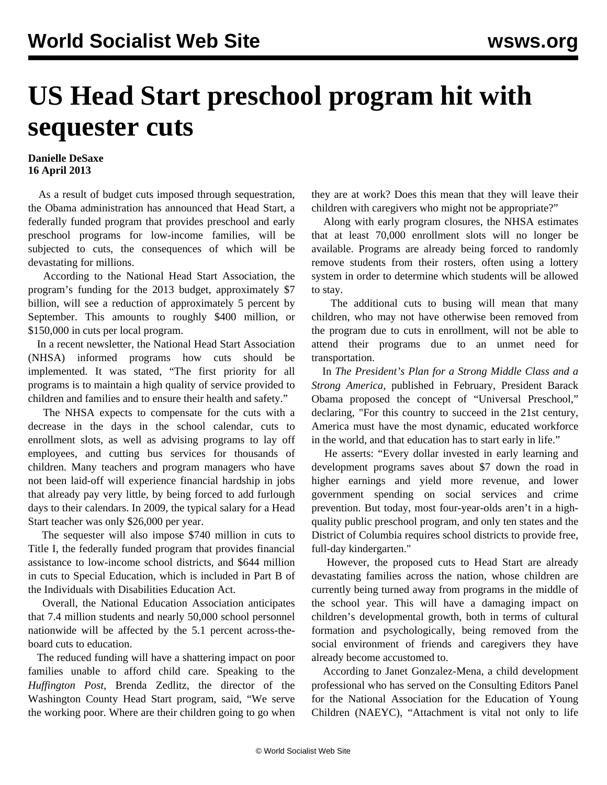## **US Head Start preschool program hit with sequester cuts**

## **Danielle DeSaxe 16 April 2013**

 As a result of budget cuts imposed through sequestration, the Obama administration has announced that Head Start, a federally funded program that provides preschool and early preschool programs for low-income families, will be subjected to cuts, the consequences of which will be devastating for millions.

 According to the National Head Start Association, the program's funding for the 2013 budget, approximately \$7 billion, will see a reduction of approximately 5 percent by September. This amounts to roughly \$400 million, or \$150,000 in cuts per local program.

 In a recent newsletter, the National Head Start Association (NHSA) informed programs how cuts should be implemented. It was stated, "The first priority for all programs is to maintain a high quality of service provided to children and families and to ensure their health and safety."

 The NHSA expects to compensate for the cuts with a decrease in the days in the school calendar, cuts to enrollment slots, as well as advising programs to lay off employees, and cutting bus services for thousands of children. Many teachers and program managers who have not been laid-off will experience financial hardship in jobs that already pay very little, by being forced to add furlough days to their calendars. In 2009, the typical salary for a Head Start teacher was only \$26,000 per year.

 The sequester will also impose \$740 million in cuts to Title I, the federally funded program that provides financial assistance to low-income school districts, and \$644 million in cuts to Special Education, which is included in Part B of the Individuals with Disabilities Education Act.

 Overall, the National Education Association anticipates that 7.4 million students and nearly 50,000 school personnel nationwide will be affected by the 5.1 percent across-theboard cuts to education.

 The reduced funding will have a shattering impact on poor families unable to afford child care. Speaking to the *Huffington Post*, Brenda Zedlitz, the director of the Washington County Head Start program, said, "We serve the working poor. Where are their children going to go when they are at work? Does this mean that they will leave their children with caregivers who might not be appropriate?"

 Along with early program closures, the NHSA estimates that at least 70,000 enrollment slots will no longer be available. Programs are already being forced to randomly remove students from their rosters, often using a lottery system in order to determine which students will be allowed to stay.

 The additional cuts to busing will mean that many children, who may not have otherwise been removed from the program due to cuts in enrollment, will not be able to attend their programs due to an unmet need for transportation.

 In *The President's Plan for a Strong Middle Class and a Strong America,* published in February, President Barack Obama proposed the concept of "Universal Preschool," declaring, "For this country to succeed in the 21st century, America must have the most dynamic, educated workforce in the world, and that education has to start early in life."

 He asserts: "Every dollar invested in early learning and development programs saves about \$7 down the road in higher earnings and yield more revenue, and lower government spending on social services and crime prevention. But today, most four-year-olds aren't in a highquality public preschool program, and only ten states and the District of Columbia requires school districts to provide free, full-day kindergarten."

 However, the proposed cuts to Head Start are already devastating families across the nation, whose children are currently being turned away from programs in the middle of the school year. This will have a damaging impact on children's developmental growth, both in terms of cultural formation and psychologically, being removed from the social environment of friends and caregivers they have already become accustomed to.

 According to Janet Gonzalez-Mena, a child development professional who has served on the Consulting Editors Panel for the National Association for the Education of Young Children (NAEYC), "Attachment is vital not only to life